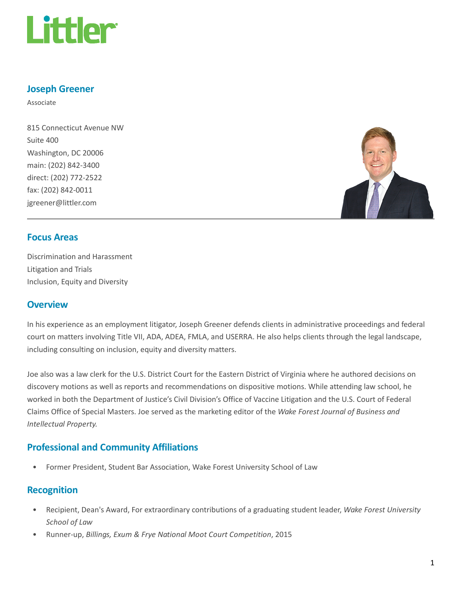

### Joseph Greener

Associate

815 Connecticut Avenue NW Suite 400 Washington, DC 20006 main: (202) 842-3400 direct: (202) 772-2522 fax: (202) 842-0011 jgreener@littler.com



#### Focus Areas

Discrimination and Harassment Litigation and Trials Inclusion, Equity and Diversity

## **Overview**

In his experience as an employment litigator, Joseph Greener defends clients in administrative proceedings and federal court on matters involving Title VII, ADA, ADEA, FMLA, and USERRA. He also helps clients through the legal landscape, including consulting on inclusion, equity and diversity matters.

Joe also was a law clerk for the U.S. District Court for the Eastern District of Virginia where he authored decisions on discovery motions as well as reports and recommendations on dispositive motions. While attending law school, he worked in both the Department of Justice's Civil Division's Office of Vaccine Litigation and the U.S. Court of Federal Claims Office of Special Masters. Joe served as the marketing editor of the Wake Forest Journal of Business and Intellectual Property.

## Professional and Community Affiliations

• Former President, Student Bar Association, Wake Forest University School of Law

#### Recognition

- Recipient, Dean's Award, For extraordinary contributions of a graduating student leader, Wake Forest University School of Law
- Runner-up, Billings, Exum & Frye National Moot Court Competition, 2015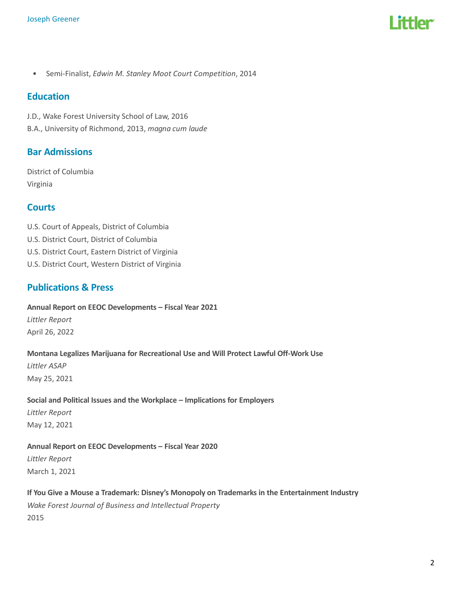

• Semi-Finalist, Edwin M. Stanley Moot Court Competition, 2014

#### **Education**

J.D., Wake Forest University School of Law, 2016 B.A., University of Richmond, 2013, magna cum laude

# Bar Admissions

District of Columbia Virginia

## **Courts**

- U.S. Court of Appeals, District of Columbia
- U.S. District Court, District of Columbia
- U.S. District Court, Eastern District of Virginia
- U.S. District Court, Western District of Virginia

## Publications & Press

Annual Report on EEOC Developments – Fiscal Year 2021

Littler Report April 26, 2022

#### Montana Legalizes Marijuana for Recreational Use and Will Protect Lawful Off-Work Use

Littler ASAP May 25, 2021

#### Social and Political Issues and the Workplace – Implications for Employers

Littler Report May 12, 2021

#### Annual Report on EEOC Developments – Fiscal Year 2020

Littler Report March 1, 2021

#### If You Give a Mouse a Trademark: Disney's Monopoly on Trademarks in the Entertainment Industry

Wake Forest Journal of Business and Intellectual Property 2015